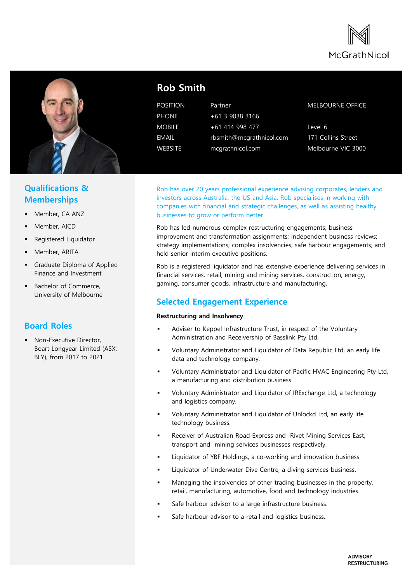



## **Qualifications & Memberships**

- Member, CA ANZ
- Member, AICD
- Registered Liquidator
- Member, ARITA
- Graduate Diploma of Applied Finance and Investment
- Bachelor of Commerce, University of Melbourne

## **Board Roles**

 Non-Executive Director, Boart Longyear Limited (ASX: BLY), from 2017 to 2021

# **Rob Smith**

POSITION Partner PHONE +61 3 9038 3166 MOBILE +61 414 998 477 EMAIL rbsmith@mcgrathnicol.com WEBSITE mcgrathnicol.com

#### MELBOURNE OFFICE

Level 6 171 Collins Street Melbourne VIC 3000

Rob has over 20 years professional experience advising corporates, lenders and investors across Australia, the US and Asia. Rob specialises in working with companies with financial and strategic challenges, as well as assisting healthy businesses to grow or perform better..

Rob has led numerous complex restructuring engagements; business improvement and transformation assignments; independent business reviews; strategy implementations; complex insolvencies; safe harbour engagements; and held senior interim executive positions.

Rob is a registered liquidator and has extensive experience delivering services in financial services, retail, mining and mining services, construction, energy, gaming, consumer goods, infrastructure and manufacturing.

## **Selected Engagement Experience**

#### **Restructuring and Insolvency**

- Adviser to Keppel Infrastructure Trust, in respect of the Voluntary Administration and Receivership of Basslink Pty Ltd.
- Voluntary Administrator and Liquidator of Data Republic Ltd, an early life data and technology company.
- Voluntary Administrator and Liquidator of Pacific HVAC Engineering Pty Ltd, a manufacturing and distribution business.
- Voluntary Administrator and Liquidator of IRExchange Ltd, a technology and logistics company.
- Voluntary Administrator and Liquidator of Unlockd Ltd, an early life technology business.
- Receiver of Australian Road Express and Rivet Mining Services East, transport and mining services businesses respectively.
- Liquidator of YBF Holdings, a co-working and innovation business.
- Liquidator of Underwater Dive Centre, a diving services business.
- Managing the insolvencies of other trading businesses in the property, retail, manufacturing, automotive, food and technology industries.
- Safe harbour advisor to a large infrastructure business.
- Safe harbour advisor to a retail and logistics business.